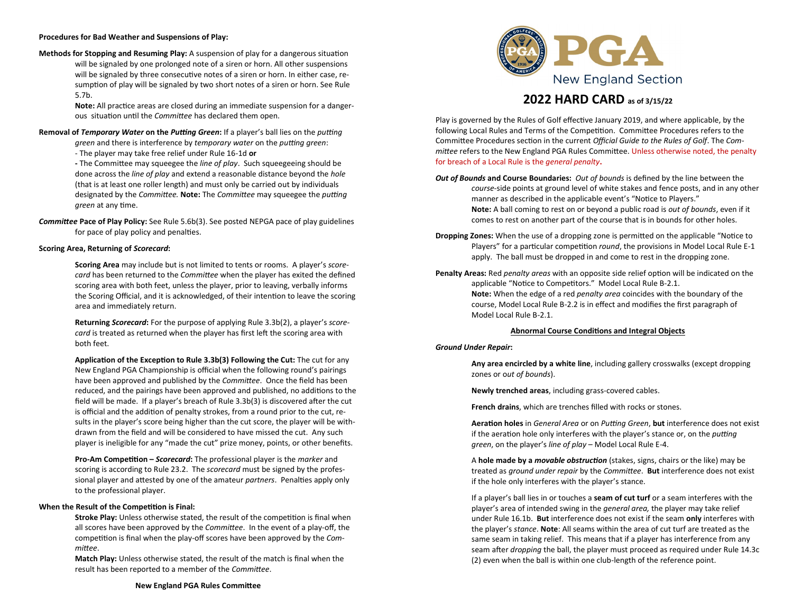## **Procedures for Bad Weather and Suspensions of Play:**

**Methods for Stopping and Resuming Play:** A suspension of play for a dangerous situation will be signaled by one prolonged note of a siren or horn. All other suspensions will be signaled by three consecutive notes of a siren or horn. In either case, resumption of play will be signaled by two short notes of a siren or horn. See Rule 5.7b.

> **Note:** All practice areas are closed during an immediate suspension for a dangerous situation until the *Committee* has declared them open.

## **Removal of** *Temporary Water* **on the** *Putting Green***:** If a player's ball lies on the *putting*

*green* and there is interference by *temporary water* on the *putting green*: - The player may take free relief under Rule 16-1d **or** 

**-** The Committee may squeegee the *line of play*. Such squeegeeing should be done across the *line of play* and extend a reasonable distance beyond the *hole* (that is at least one roller length) and must only be carried out by individuals designated by the *Committee.* **Note:** The *Committee* may squeegee the *putting green* at any time.

*Committee* **Pace of Play Policy:** See Rule 5.6b(3). See posted NEPGA pace of play guidelines for pace of play policy and penalties.

## **Scoring Area, Returning of** *Scorecard***:**

**Scoring Area** may include but is not limited to tents or rooms. A player's *scorecard* has been returned to the *Committee* when the player has exited the defined scoring area with both feet, unless the player, prior to leaving, verbally informs the Scoring Official, and it is acknowledged, of their intention to leave the scoring area and immediately return.

**Returning** *Scorecard***:** For the purpose of applying Rule 3.3b(2), a player's *scorecard* is treated as returned when the player has first left the scoring area with both feet.

**Application of the Exception to Rule 3.3b(3) Following the Cut:** The cut for any New England PGA Championship is official when the following round's pairings have been approved and published by the *Committee*. Once the field has been reduced, and the pairings have been approved and published, no additions to the field will be made. If a player's breach of Rule 3.3b(3) is discovered after the cut is official and the addition of penalty strokes, from a round prior to the cut, results in the player's score being higher than the cut score, the player will be withdrawn from the field and will be considered to have missed the cut. Any such player is ineligible for any "made the cut" prize money, points, or other benefits.

**Pro-Am Competition –** *Scorecard***:** The professional player is the *marker* and scoring is according to Rule 23.2. The *scorecard* must be signed by the professional player and attested by one of the amateur *partners*. Penalties apply only to the professional player.

### **When the Result of the Competition is Final:**

**Stroke Play:** Unless otherwise stated, the result of the competition is final when all scores have been approved by the *Committee*. In the event of a play-off, the competition is final when the play-off scores have been approved by the *Committee*.

**Match Play:** Unless otherwise stated, the result of the match is final when the result has been reported to a member of the *Committee*.



# **2022 HARD CARD as of 3/15/22**

Play is governed by the Rules of Golf effective January 2019, and where applicable, by the following Local Rules and Terms of the Competition. Committee Procedures refers to the Committee Procedures section in the current *Official Guide to the Rules of Golf*. The *Committee* refers to the New England PGA Rules Committee. Unless otherwise noted, the penalty for breach of a Local Rule is the *general penalty***.**

- *Out of Bounds* **and Course Boundaries:** *Out of bounds* is defined by the line between the *course*-side points at ground level of white stakes and fence posts, and in any other manner as described in the applicable event's "Notice to Players." **Note:** A ball coming to rest on or beyond a public road is *out of bounds*, even if it comes to rest on another part of the course that is in bounds for other holes.
- **Dropping Zones:** When the use of a dropping zone is permitted on the applicable "Notice to Players" for a particular competition *round*, the provisions in Model Local Rule E-1 apply. The ball must be dropped in and come to rest in the dropping zone.
- **Penalty Areas:** Red *penalty areas* with an opposite side relief option will be indicated on the applicable "Notice to Competitors." Model Local Rule B-2.1. **Note:** When the edge of a red *penalty area* coincides with the boundary of the course, Model Local Rule B-2.2 is in effect and modifies the first paragraph of Model Local Rule B-2.1.

## **Abnormal Course Conditions and Integral Objects**

## *Ground Under Repair***:**

**Any area encircled by a white line**, including gallery crosswalks (except dropping zones or o*ut of bounds*).

**Newly trenched areas**, including grass-covered cables.

**French drains**, which are trenches filled with rocks or stones.

**Aeration holes** in *General Area* or on *Putting Green*, **but** interference does not exist if the aeration hole only interferes with the player's stance or, on the *putting green*, on the player's *line of play* – Model Local Rule E-4.

A **hole made by a** *movable obstruction* (stakes, signs, chairs or the like) may be treated as *ground under repair* by the *Committee*. **But** interference does not exist if the hole only interferes with the player's stance.

If a player's ball lies in or touches a **seam of cut turf** or a seam interferes with the player's area of intended swing in the *general area,* the player may take relief under Rule 16.1b. **But** interference does not exist if the seam **only** interferes with the player's *stance*. **Note**: All seams within the area of cut turf are treated as the same seam in taking relief. This means that if a player has interference from any seam after *dropping* the ball, the player must proceed as required under Rule 14.3c (2) even when the ball is within one club-length of the reference point.